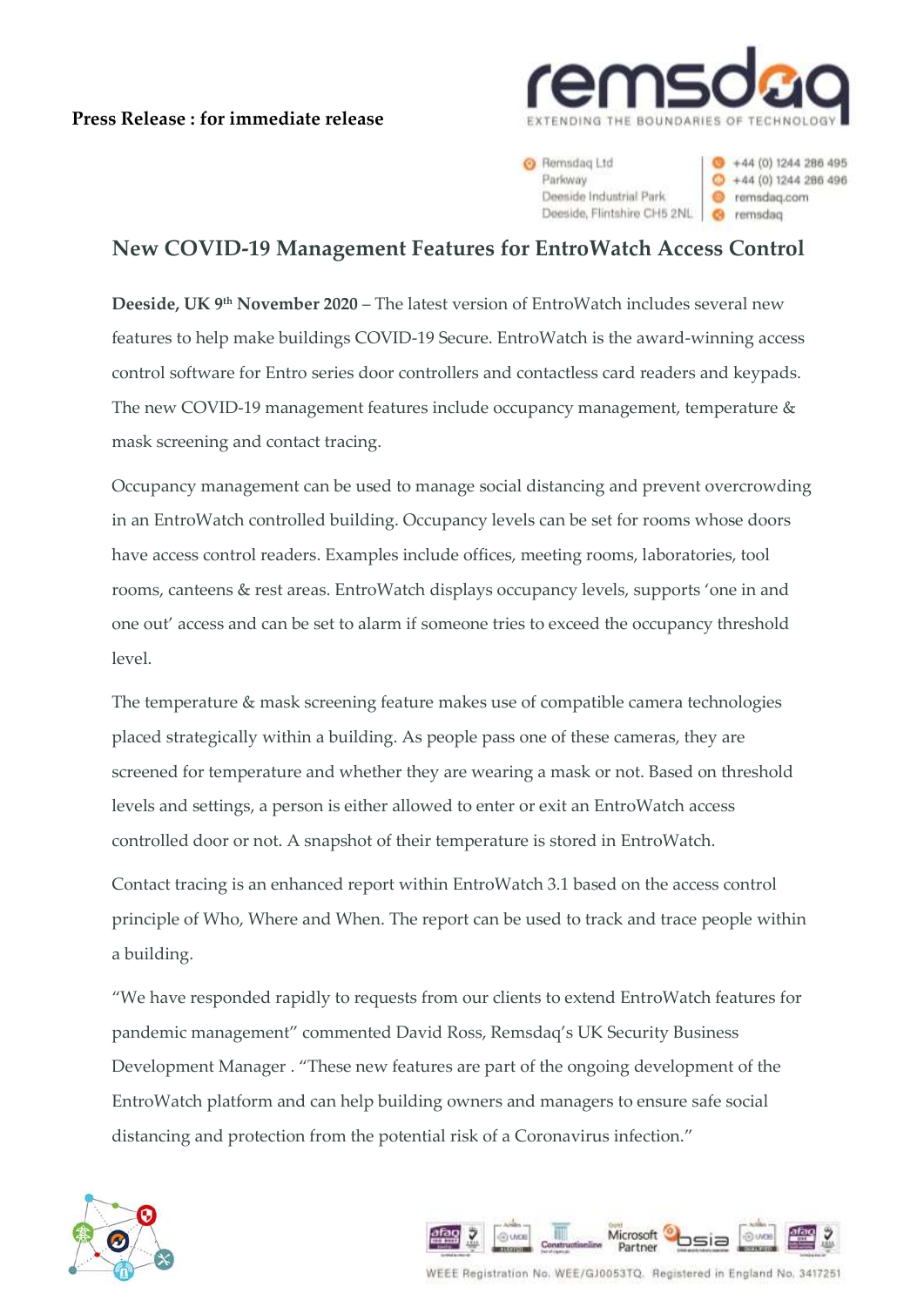## **Press Release : for immediate release**



**B** Remsdag Ltd Parloway Deeside Industrial Park Deeside, Flintshire CH5 2NL 6 remsdag

 $+44(0)1244286495$  $+44(0)1244286496$ e remsdag.com

## **New COVID-19 Management Features for EntroWatch Access Control**

**Deeside, UK 9<sup>th</sup> November 2020 – The latest version of EntroWatch includes several new** features to help make buildings COVID-19 Secure. EntroWatch is the award-winning access control software for Entro series door controllers and contactless card readers and keypads. The new COVID-19 management features include occupancy management, temperature & mask screening and contact tracing.

Occupancy management can be used to manage social distancing and prevent overcrowding in an EntroWatch controlled building. Occupancy levels can be set for rooms whose doors have access control readers. Examples include offices, meeting rooms, laboratories, tool rooms, canteens & rest areas. EntroWatch displays occupancy levels, supports 'one in and one out' access and can be set to alarm if someone tries to exceed the occupancy threshold level.

The temperature & mask screening feature makes use of compatible camera technologies placed strategically within a building. As people pass one of these cameras, they are screened for temperature and whether they are wearing a mask or not. Based on threshold levels and settings, a person is either allowed to enter or exit an EntroWatch access controlled door or not. A snapshot of their temperature is stored in EntroWatch.

Contact tracing is an enhanced report within EntroWatch 3.1 based on the access control principle of Who, Where and When. The report can be used to track and trace people within a building.

"We have responded rapidly to requests from our clients to extend EntroWatch features for pandemic management" commented David Ross, Remsdaq's UK Security Business Development Manager . "These new features are part of the ongoing development of the EntroWatch platform and can help building owners and managers to ensure safe social distancing and protection from the potential risk of a Coronavirus infection."





WEEE Registration No. WEE/GJ0053TQ. Registered in England No. 3417251